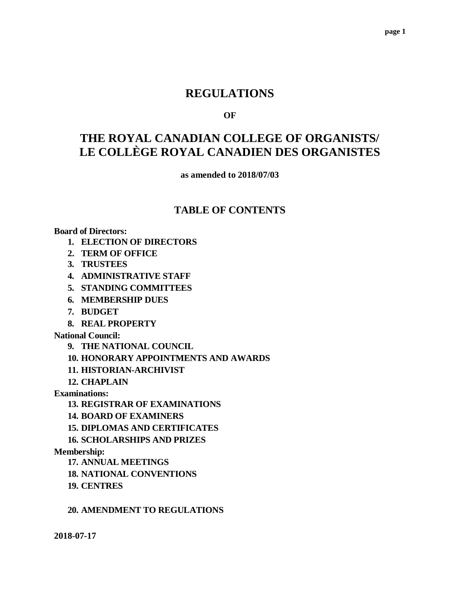## **REGULATIONS**

#### **OF**

# **THE ROYAL CANADIAN COLLEGE OF ORGANISTS/ LE COLLÈGE ROYAL CANADIEN DES ORGANISTES**

**as amended to 2018/07/03**

### **TABLE OF CONTENTS**

#### **Board of Directors:**

- **1. ELECTION OF DIRECTORS**
- **2. TERM OF OFFICE**
- **3. TRUSTEES**
- **4. ADMINISTRATIVE STAFF**
- **5. STANDING COMMITTEES**
- **6. MEMBERSHIP DUES**
- **7. BUDGET**
- **8. REAL PROPERTY**

#### **National Council:**

- **9. THE NATIONAL COUNCIL**
- **10. HONORARY APPOINTMENTS AND AWARDS**
- **11. HISTORIAN-ARCHIVIST**

**12. CHAPLAIN**

**Examinations:**

- **13. REGISTRAR OF EXAMINATIONS**
- **14. BOARD OF EXAMINERS**
- **15. DIPLOMAS AND CERTIFICATES**
- **16. SCHOLARSHIPS AND PRIZES**

#### **Membership:**

- **17. ANNUAL MEETINGS**
- **18. NATIONAL CONVENTIONS**
- **19. CENTRES**

#### **20. AMENDMENT TO REGULATIONS**

**2018-07-17**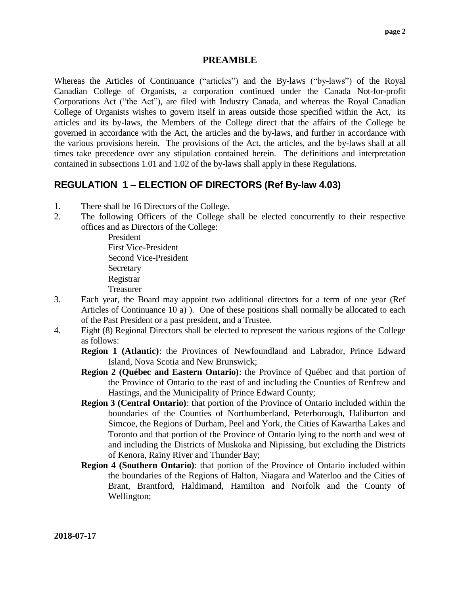#### **PREAMBLE**

Whereas the Articles of Continuance ("articles") and the By-laws ("by-laws") of the Royal Canadian College of Organists, a corporation continued under the Canada Not-for-profit Corporations Act ("the Act"), are filed with Industry Canada, and whereas the Royal Canadian College of Organists wishes to govern itself in areas outside those specified within the Act, its articles and its by-laws, the Members of the College direct that the affairs of the College be governed in accordance with the Act, the articles and the by-laws, and further in accordance with the various provisions herein. The provisions of the Act, the articles, and the by-laws shall at all times take precedence over any stipulation contained herein. The definitions and interpretation contained in subsections 1.01 and 1.02 of the by-laws shall apply in these Regulations.

## **REGULATION 1 – ELECTION OF DIRECTORS (Ref By-law 4.03)**

- 1. There shall be 16 Directors of the College.
- 2. The following Officers of the College shall be elected concurrently to their respective offices and as Directors of the College:

President First Vice-President Second Vice-President **Secretary** Registrar Treasurer

- 3. Each year, the Board may appoint two additional directors for a term of one year (Ref Articles of Continuance 10 a) ). One of these positions shall normally be allocated to each of the Past President or a past president, and a Trustee.
- 4. Eight (8) Regional Directors shall be elected to represent the various regions of the College as follows:

**Region 1 (Atlantic)**: the Provinces of Newfoundland and Labrador, Prince Edward Island, Nova Scotia and New Brunswick;

- **Region 2 (Québec and Eastern Ontario)**: the Province of Québec and that portion of the Province of Ontario to the east of and including the Counties of Renfrew and Hastings, and the Municipality of Prince Edward County;
- **Region 3 (Central Ontario)**: that portion of the Province of Ontario included within the boundaries of the Counties of Northumberland, Peterborough, Haliburton and Simcoe, the Regions of Durham, Peel and York, the Cities of Kawartha Lakes and Toronto and that portion of the Province of Ontario lying to the north and west of and including the Districts of Muskoka and Nipissing, but excluding the Districts of Kenora, Rainy River and Thunder Bay;
- **Region 4 (Southern Ontario)**: that portion of the Province of Ontario included within the boundaries of the Regions of Halton, Niagara and Waterloo and the Cities of Brant, Brantford, Haldimand, Hamilton and Norfolk and the County of Wellington;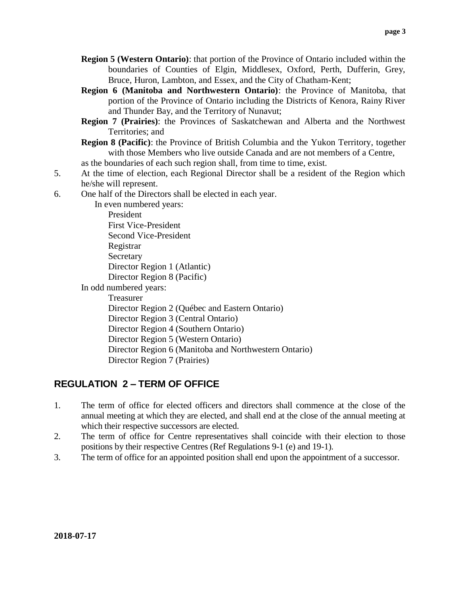- **Region 5 (Western Ontario)**: that portion of the Province of Ontario included within the boundaries of Counties of Elgin, Middlesex, Oxford, Perth, Dufferin, Grey, Bruce, Huron, Lambton, and Essex, and the City of Chatham-Kent;
- **Region 6 (Manitoba and Northwestern Ontario)**: the Province of Manitoba, that portion of the Province of Ontario including the Districts of Kenora, Rainy River and Thunder Bay, and the Territory of Nunavut;
- **Region 7 (Prairies)**: the Provinces of Saskatchewan and Alberta and the Northwest Territories; and
- **Region 8 (Pacific)**: the Province of British Columbia and the Yukon Territory, together with those Members who live outside Canada and are not members of a Centre,

as the boundaries of each such region shall, from time to time, exist.

- 5. At the time of election, each Regional Director shall be a resident of the Region which he/she will represent.
- 6. One half of the Directors shall be elected in each year.

In even numbered years: President First Vice-President Second Vice-President Registrar Secretary Director Region 1 (Atlantic) Director Region 8 (Pacific) In odd numbered years:

Treasurer

Director Region 2 (Québec and Eastern Ontario)

Director Region 3 (Central Ontario)

Director Region 4 (Southern Ontario)

Director Region 5 (Western Ontario)

Director Region 6 (Manitoba and Northwestern Ontario)

Director Region 7 (Prairies)

## **REGULATION 2 – TERM OF OFFICE**

- 1. The term of office for elected officers and directors shall commence at the close of the annual meeting at which they are elected, and shall end at the close of the annual meeting at which their respective successors are elected.
- 2. The term of office for Centre representatives shall coincide with their election to those positions by their respective Centres (Ref Regulations 9-1 (e) and 19-1).
- 3. The term of office for an appointed position shall end upon the appointment of a successor.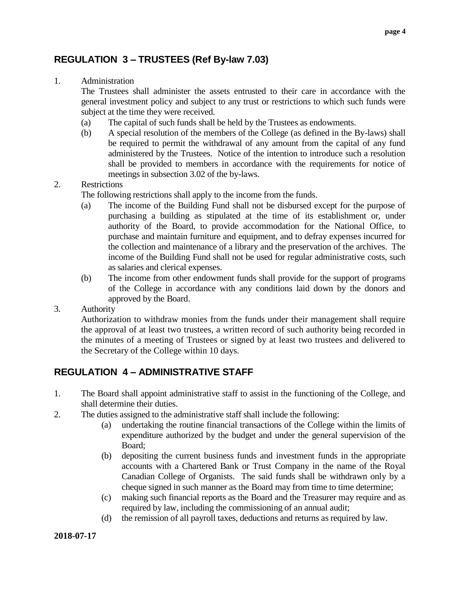## **REGULATION 3 – TRUSTEES (Ref By-law 7.03)**

#### 1. Administration

The Trustees shall administer the assets entrusted to their care in accordance with the general investment policy and subject to any trust or restrictions to which such funds were subject at the time they were received.

- (a) The capital of such funds shall be held by the Trustees as endowments.
- (b) A special resolution of the members of the College (as defined in the By-laws) shall be required to permit the withdrawal of any amount from the capital of any fund administered by the Trustees. Notice of the intention to introduce such a resolution shall be provided to members in accordance with the requirements for notice of meetings in subsection 3.02 of the by-laws.

#### 2. Restrictions

- The following restrictions shall apply to the income from the funds.
- (a) The income of the Building Fund shall not be disbursed except for the purpose of purchasing a building as stipulated at the time of its establishment or, under authority of the Board, to provide accommodation for the National Office, to purchase and maintain furniture and equipment, and to defray expenses incurred for the collection and maintenance of a library and the preservation of the archives. The income of the Building Fund shall not be used for regular administrative costs, such as salaries and clerical expenses.
- (b) The income from other endowment funds shall provide for the support of programs of the College in accordance with any conditions laid down by the donors and approved by the Board.
- 3. Authority

Authorization to withdraw monies from the funds under their management shall require the approval of at least two trustees, a written record of such authority being recorded in the minutes of a meeting of Trustees or signed by at least two trustees and delivered to the Secretary of the College within 10 days.

## **REGULATION 4 – ADMINISTRATIVE STAFF**

- 1. The Board shall appoint administrative staff to assist in the functioning of the College, and shall determine their duties.
- 2. The duties assigned to the administrative staff shall include the following:
	- (a) undertaking the routine financial transactions of the College within the limits of expenditure authorized by the budget and under the general supervision of the Board;
	- (b) depositing the current business funds and investment funds in the appropriate accounts with a Chartered Bank or Trust Company in the name of the Royal Canadian College of Organists. The said funds shall be withdrawn only by a cheque signed in such manner as the Board may from time to time determine;
	- (c) making such financial reports as the Board and the Treasurer may require and as required by law, including the commissioning of an annual audit;
	- (d) the remission of all payroll taxes, deductions and returns as required by law.

#### **2018-07-17**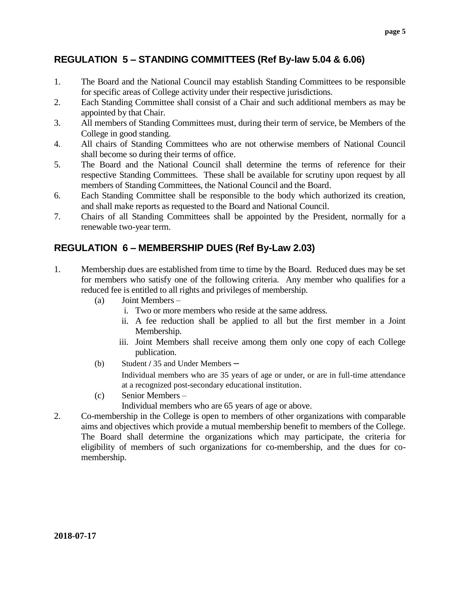## **REGULATION 5 – STANDING COMMITTEES (Ref By-law 5.04 & 6.06)**

- 1. The Board and the National Council may establish Standing Committees to be responsible for specific areas of College activity under their respective jurisdictions.
- 2. Each Standing Committee shall consist of a Chair and such additional members as may be appointed by that Chair.
- 3. All members of Standing Committees must, during their term of service, be Members of the College in good standing.
- 4. All chairs of Standing Committees who are not otherwise members of National Council shall become so during their terms of office.
- 5. The Board and the National Council shall determine the terms of reference for their respective Standing Committees. These shall be available for scrutiny upon request by all members of Standing Committees, the National Council and the Board.
- 6. Each Standing Committee shall be responsible to the body which authorized its creation, and shall make reports as requested to the Board and National Council.
- 7. Chairs of all Standing Committees shall be appointed by the President, normally for a renewable two-year term.

## **REGULATION 6 – MEMBERSHIP DUES (Ref By-Law 2.03)**

- 1. Membership dues are established from time to time by the Board. Reduced dues may be set for members who satisfy one of the following criteria. Any member who qualifies for a reduced fee is entitled to all rights and privileges of membership.
	- (a) Joint Members
		- i. Two or more members who reside at the same address.
		- ii. A fee reduction shall be applied to all but the first member in a Joint Membership.
		- iii. Joint Members shall receive among them only one copy of each College publication.
	- (b) Student **/** 35 and Under Members –

Individual members who are 35 years of age or under, or are in full-time attendance at a recognized post-secondary educational institution.

- (c) Senior Members Individual members who are 65 years of age or above.
- 2. Co-membership in the College is open to members of other organizations with comparable aims and objectives which provide a mutual membership benefit to members of the College. The Board shall determine the organizations which may participate, the criteria for eligibility of members of such organizations for co-membership, and the dues for comembership.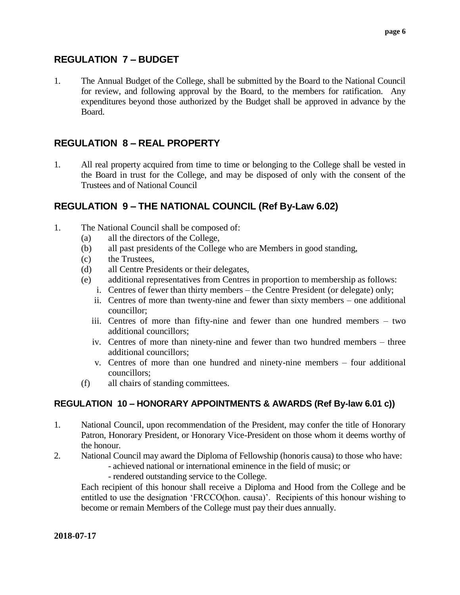### **REGULATION 7 – BUDGET**

1. The Annual Budget of the College, shall be submitted by the Board to the National Council for review, and following approval by the Board, to the members for ratification. Any expenditures beyond those authorized by the Budget shall be approved in advance by the Board.

### **REGULATION 8 – REAL PROPERTY**

1. All real property acquired from time to time or belonging to the College shall be vested in the Board in trust for the College, and may be disposed of only with the consent of the Trustees and of National Council

### **REGULATION 9 – THE NATIONAL COUNCIL (Ref By-Law 6.02)**

- 1. The National Council shall be composed of:
	- (a) all the directors of the College,
	- (b) all past presidents of the College who are Members in good standing,
	- (c) the Trustees,
	- (d) all Centre Presidents or their delegates,
	- (e) additional representatives from Centres in proportion to membership as follows:
		- i. Centres of fewer than thirty members the Centre President (or delegate) only;
			- ii. Centres of more than twenty-nine and fewer than sixty members one additional councillor;
		- iii. Centres of more than fifty-nine and fewer than one hundred members two additional councillors;
		- iv. Centres of more than ninety-nine and fewer than two hundred members three additional councillors;
		- v. Centres of more than one hundred and ninety-nine members four additional councillors;
	- (f) all chairs of standing committees.

### **REGULATION 10 – HONORARY APPOINTMENTS & AWARDS (Ref By-law 6.01 c))**

- 1. National Council, upon recommendation of the President, may confer the title of Honorary Patron, Honorary President, or Honorary Vice-President on those whom it deems worthy of the honour.
- 2. National Council may award the Diploma of Fellowship (honoris causa) to those who have:
	- achieved national or international eminence in the field of music; or
	- rendered outstanding service to the College.

Each recipient of this honour shall receive a Diploma and Hood from the College and be entitled to use the designation 'FRCCO(hon. causa)'. Recipients of this honour wishing to become or remain Members of the College must pay their dues annually.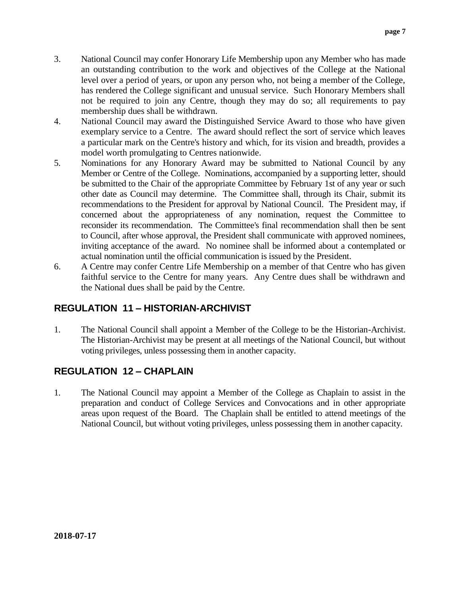- 3. National Council may confer Honorary Life Membership upon any Member who has made an outstanding contribution to the work and objectives of the College at the National level over a period of years, or upon any person who, not being a member of the College, has rendered the College significant and unusual service. Such Honorary Members shall not be required to join any Centre, though they may do so; all requirements to pay membership dues shall be withdrawn.
- 4. National Council may award the Distinguished Service Award to those who have given exemplary service to a Centre. The award should reflect the sort of service which leaves a particular mark on the Centre's history and which, for its vision and breadth, provides a model worth promulgating to Centres nationwide.
- 5. Nominations for any Honorary Award may be submitted to National Council by any Member or Centre of the College. Nominations, accompanied by a supporting letter, should be submitted to the Chair of the appropriate Committee by February 1st of any year or such other date as Council may determine. The Committee shall, through its Chair, submit its recommendations to the President for approval by National Council. The President may, if concerned about the appropriateness of any nomination, request the Committee to reconsider its recommendation. The Committee's final recommendation shall then be sent to Council, after whose approval, the President shall communicate with approved nominees, inviting acceptance of the award. No nominee shall be informed about a contemplated or actual nomination until the official communication is issued by the President.
- 6. A Centre may confer Centre Life Membership on a member of that Centre who has given faithful service to the Centre for many years. Any Centre dues shall be withdrawn and the National dues shall be paid by the Centre.

## **REGULATION 11 – HISTORIAN-ARCHIVIST**

1. The National Council shall appoint a Member of the College to be the Historian-Archivist. The Historian-Archivist may be present at all meetings of the National Council, but without voting privileges, unless possessing them in another capacity.

## **REGULATION 12 – CHAPLAIN**

1. The National Council may appoint a Member of the College as Chaplain to assist in the preparation and conduct of College Services and Convocations and in other appropriate areas upon request of the Board. The Chaplain shall be entitled to attend meetings of the National Council, but without voting privileges, unless possessing them in another capacity.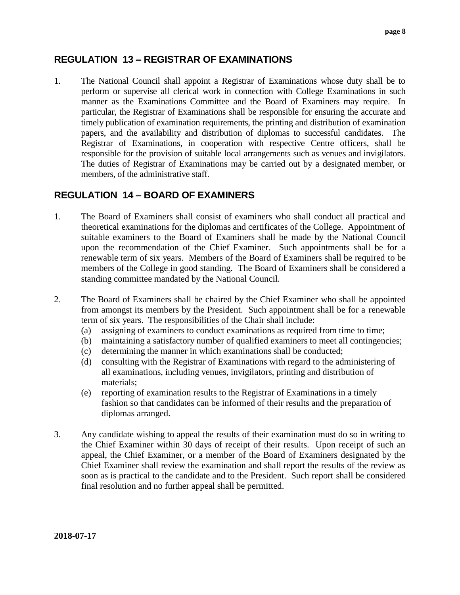### **REGULATION 13 – REGISTRAR OF EXAMINATIONS**

1. The National Council shall appoint a Registrar of Examinations whose duty shall be to perform or supervise all clerical work in connection with College Examinations in such manner as the Examinations Committee and the Board of Examiners may require. In particular, the Registrar of Examinations shall be responsible for ensuring the accurate and timely publication of examination requirements, the printing and distribution of examination papers, and the availability and distribution of diplomas to successful candidates. The Registrar of Examinations, in cooperation with respective Centre officers, shall be responsible for the provision of suitable local arrangements such as venues and invigilators. The duties of Registrar of Examinations may be carried out by a designated member, or members, of the administrative staff.

## **REGULATION 14 – BOARD OF EXAMINERS**

- 1. The Board of Examiners shall consist of examiners who shall conduct all practical and theoretical examinations for the diplomas and certificates of the College. Appointment of suitable examiners to the Board of Examiners shall be made by the National Council upon the recommendation of the Chief Examiner. Such appointments shall be for a renewable term of six years. Members of the Board of Examiners shall be required to be members of the College in good standing. The Board of Examiners shall be considered a standing committee mandated by the National Council.
- 2. The Board of Examiners shall be chaired by the Chief Examiner who shall be appointed from amongst its members by the President. Such appointment shall be for a renewable term of six years. The responsibilities of the Chair shall include:
	- (a) assigning of examiners to conduct examinations as required from time to time;
	- (b) maintaining a satisfactory number of qualified examiners to meet all contingencies;
	- (c) determining the manner in which examinations shall be conducted;
	- (d) consulting with the Registrar of Examinations with regard to the administering of all examinations, including venues, invigilators, printing and distribution of materials;
	- (e) reporting of examination results to the Registrar of Examinations in a timely fashion so that candidates can be informed of their results and the preparation of diplomas arranged.
- 3. Any candidate wishing to appeal the results of their examination must do so in writing to the Chief Examiner within 30 days of receipt of their results. Upon receipt of such an appeal, the Chief Examiner, or a member of the Board of Examiners designated by the Chief Examiner shall review the examination and shall report the results of the review as soon as is practical to the candidate and to the President. Such report shall be considered final resolution and no further appeal shall be permitted.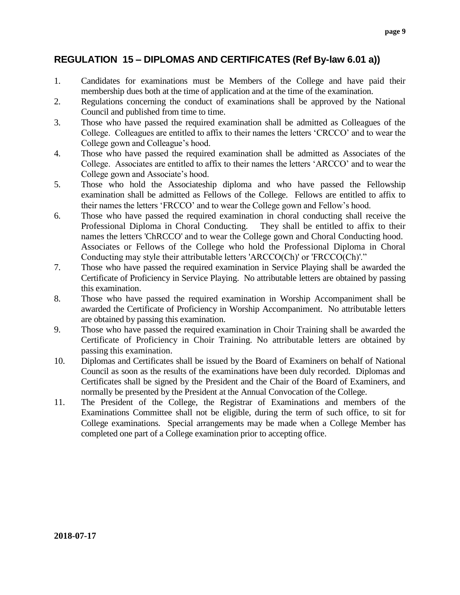## **REGULATION 15 – DIPLOMAS AND CERTIFICATES (Ref By-law 6.01 a))**

- 1. Candidates for examinations must be Members of the College and have paid their membership dues both at the time of application and at the time of the examination.
- 2. Regulations concerning the conduct of examinations shall be approved by the National Council and published from time to time.
- 3. Those who have passed the required examination shall be admitted as Colleagues of the College. Colleagues are entitled to affix to their names the letters 'CRCCO' and to wear the College gown and Colleague's hood.
- 4. Those who have passed the required examination shall be admitted as Associates of the College. Associates are entitled to affix to their names the letters 'ARCCO' and to wear the College gown and Associate's hood.
- 5. Those who hold the Associateship diploma and who have passed the Fellowship examination shall be admitted as Fellows of the College. Fellows are entitled to affix to their names the letters 'FRCCO' and to wear the College gown and Fellow's hood.
- 6. Those who have passed the required examination in choral conducting shall receive the Professional Diploma in Choral Conducting. They shall be entitled to affix to their names the letters 'ChRCCO' and to wear the College gown and Choral Conducting hood. Associates or Fellows of the College who hold the Professional Diploma in Choral Conducting may style their attributable letters 'ARCCO(Ch)' or 'FRCCO(Ch)'."
- 7. Those who have passed the required examination in Service Playing shall be awarded the Certificate of Proficiency in Service Playing. No attributable letters are obtained by passing this examination.
- 8. Those who have passed the required examination in Worship Accompaniment shall be awarded the Certificate of Proficiency in Worship Accompaniment. No attributable letters are obtained by passing this examination.
- 9. Those who have passed the required examination in Choir Training shall be awarded the Certificate of Proficiency in Choir Training. No attributable letters are obtained by passing this examination.
- 10. Diplomas and Certificates shall be issued by the Board of Examiners on behalf of National Council as soon as the results of the examinations have been duly recorded. Diplomas and Certificates shall be signed by the President and the Chair of the Board of Examiners, and normally be presented by the President at the Annual Convocation of the College.
- 11. The President of the College, the Registrar of Examinations and members of the Examinations Committee shall not be eligible, during the term of such office, to sit for College examinations. Special arrangements may be made when a College Member has completed one part of a College examination prior to accepting office.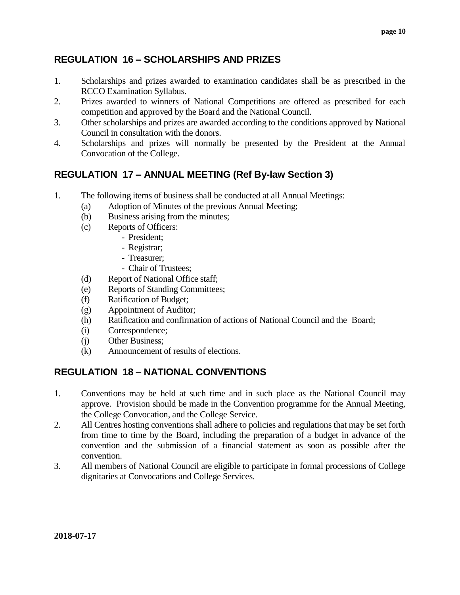## **REGULATION 16 – SCHOLARSHIPS AND PRIZES**

- 1. Scholarships and prizes awarded to examination candidates shall be as prescribed in the RCCO Examination Syllabus.
- 2. Prizes awarded to winners of National Competitions are offered as prescribed for each competition and approved by the Board and the National Council.
- 3. Other scholarships and prizes are awarded according to the conditions approved by National Council in consultation with the donors.
- 4. Scholarships and prizes will normally be presented by the President at the Annual Convocation of the College.

## **REGULATION 17 – ANNUAL MEETING (Ref By-law Section 3)**

- 1. The following items of business shall be conducted at all Annual Meetings:
	- (a) Adoption of Minutes of the previous Annual Meeting;
	- (b) Business arising from the minutes;
	- (c) Reports of Officers:
		- President;
		- Registrar;
		- Treasurer;
		- Chair of Trustees;
	- (d) Report of National Office staff;
	- (e) Reports of Standing Committees;
	- (f) Ratification of Budget;
	- (g) Appointment of Auditor;
	- (h) Ratification and confirmation of actions of National Council and the Board;
	- (i) Correspondence;
	- (j) Other Business;
	- (k) Announcement of results of elections.

## **REGULATION 18 – NATIONAL CONVENTIONS**

- 1. Conventions may be held at such time and in such place as the National Council may approve. Provision should be made in the Convention programme for the Annual Meeting, the College Convocation, and the College Service.
- 2. All Centres hosting conventions shall adhere to policies and regulations that may be set forth from time to time by the Board, including the preparation of a budget in advance of the convention and the submission of a financial statement as soon as possible after the convention.
- 3. All members of National Council are eligible to participate in formal processions of College dignitaries at Convocations and College Services.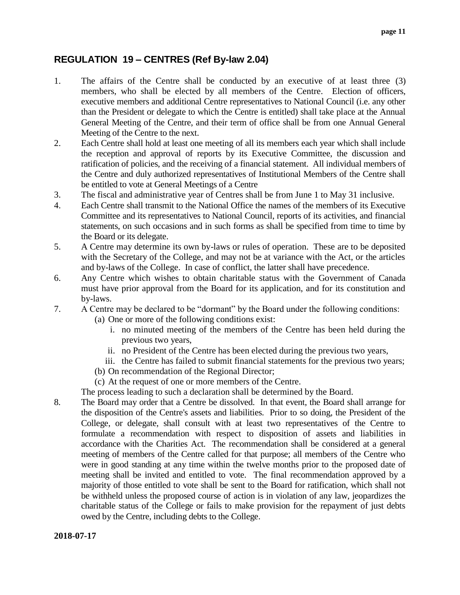## **REGULATION 19 – CENTRES (Ref By-law 2.04)**

- 1. The affairs of the Centre shall be conducted by an executive of at least three (3) members, who shall be elected by all members of the Centre. Election of officers, executive members and additional Centre representatives to National Council (i.e. any other than the President or delegate to which the Centre is entitled) shall take place at the Annual General Meeting of the Centre, and their term of office shall be from one Annual General Meeting of the Centre to the next.
- 2. Each Centre shall hold at least one meeting of all its members each year which shall include the reception and approval of reports by its Executive Committee, the discussion and ratification of policies, and the receiving of a financial statement. All individual members of the Centre and duly authorized representatives of Institutional Members of the Centre shall be entitled to vote at General Meetings of a Centre
- 3. The fiscal and administrative year of Centres shall be from June 1 to May 31 inclusive.
- 4. Each Centre shall transmit to the National Office the names of the members of its Executive Committee and its representatives to National Council, reports of its activities, and financial statements, on such occasions and in such forms as shall be specified from time to time by the Board or its delegate.
- 5. A Centre may determine its own by-laws or rules of operation. These are to be deposited with the Secretary of the College, and may not be at variance with the Act, or the articles and by-laws of the College. In case of conflict, the latter shall have precedence.
- 6. Any Centre which wishes to obtain charitable status with the Government of Canada must have prior approval from the Board for its application, and for its constitution and by-laws.
- 7. A Centre may be declared to be "dormant" by the Board under the following conditions:
	- (a) One or more of the following conditions exist:
		- i. no minuted meeting of the members of the Centre has been held during the previous two years,
		- ii. no President of the Centre has been elected during the previous two years,
		- iii. the Centre has failed to submit financial statements for the previous two years;
	- (b) On recommendation of the Regional Director;
	- (c) At the request of one or more members of the Centre.
	- The process leading to such a declaration shall be determined by the Board.
- 8. The Board may order that a Centre be dissolved. In that event, the Board shall arrange for the disposition of the Centre's assets and liabilities. Prior to so doing, the President of the College, or delegate, shall consult with at least two representatives of the Centre to formulate a recommendation with respect to disposition of assets and liabilities in accordance with the Charities Act. The recommendation shall be considered at a general meeting of members of the Centre called for that purpose; all members of the Centre who were in good standing at any time within the twelve months prior to the proposed date of meeting shall be invited and entitled to vote. The final recommendation approved by a majority of those entitled to vote shall be sent to the Board for ratification, which shall not be withheld unless the proposed course of action is in violation of any law, jeopardizes the charitable status of the College or fails to make provision for the repayment of just debts owed by the Centre, including debts to the College.